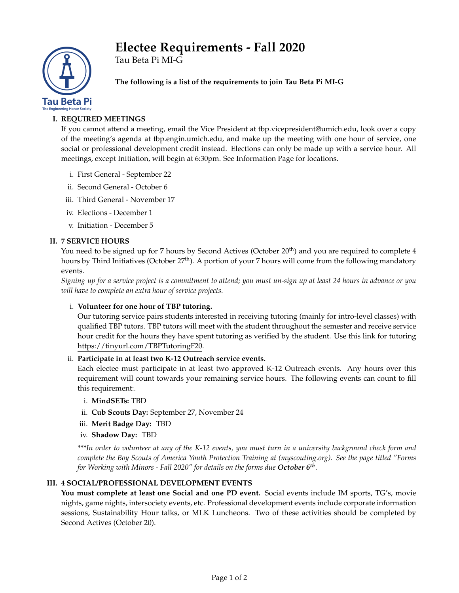# **Electee Requirements - Fall 2020**



Tau Beta Pi MI-G

**The following is a list of the requirements to join Tau Beta Pi MI-G**

## **I. REQUIRED MEETINGS**

If you cannot attend a meeting, email the Vice President at tbp.vicepresident@umich.edu, look over a copy of the meeting's agenda at tbp.engin.umich.edu, and make up the meeting with one hour of service, one social or professional development credit instead. Elections can only be made up with a service hour. All meetings, except Initiation, will begin at 6:30pm. See Information Page for locations.

- i. First General September 22
- ii. Second General October 6
- iii. Third General November 17
- iv. Elections December 1
- v. Initiation December 5

## **II. 7 SERVICE HOURS**

You need to be signed up for 7 hours by Second Actives (October 20<sup>th</sup>) and you are required to complete 4 hours by Third Initiatives (October 27<sup>th</sup>). A portion of your 7 hours will come from the following mandatory events.

*Signing up for a service project is a commitment to attend; you must un-sign up at least 24 hours in advance or you will have to complete an extra hour of service projects.*

## i. **Volunteer for one hour of TBP tutoring.**

Our tutoring service pairs students interested in receiving tutoring (mainly for intro-level classes) with qualified TBP tutors. TBP tutors will meet with the student throughout the semester and receive service hour credit for the hours they have spent tutoring as verified by the student. Use this link for tutoring https://tinyurl.com/TBPTutoringF20.

## ii. **Participate in at least two K-12 Outreach service events.**

Each electee must participate in at least two approved K-12 Outreach events. Any hours over this requirement will count towards your remaining service hours. The following events can count to fill this requirement:.

## i. **MindSETs:** TBD

- ii. **Cub Scouts Day:** September 27, November 24
- iii. **Merit Badge Day:** TBD
- iv. **Shadow Day:** TBD

\*\*\**In order to volunteer at any of the K-12 events, you must turn in a university background check form and complete the Boy Scouts of America Youth Protection Training at (myscouting.org). See the page titled "Forms for Working with Minors - Fall 2020" for details on the forms due October 6th* .

## **III. 4 SOCIAL/PROFESSIONAL DEVELOPMENT EVENTS**

**You must complete at least one Social and one PD event.** Social events include IM sports, TG's, movie nights, game nights, intersociety events, etc. Professional development events include corporate information sessions, Sustainability Hour talks, or MLK Luncheons. Two of these activities should be completed by Second Actives (October 20).